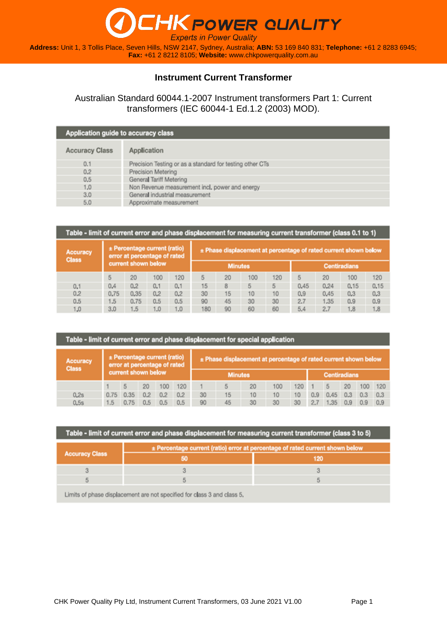**Address:** Unit 1, 3 Tollis Place, Seven Hills, NSW 2147, Sydney, Australia; **ABN:** 53 169 840 831; **Telephone:** +61 2 8283 6945; **Fax:** +61 2 8212 8105; **Website:** [www.chkpowerquality.com.au](http://www.chkpowerquality.com.au/)

#### **Instrument Current Transformer**

Australian Standard 60044.1-2007 Instrument transformers Part 1: Current transformers (IEC 60044-1 Ed.1.2 (2003) MOD).

| Application guide to accuracy class |                                                          |
|-------------------------------------|----------------------------------------------------------|
| <b>Accuracy Class</b>               | Application                                              |
| 0.1                                 | Precision Testing or as a standard for testing other CTs |
| 0.2                                 | Precision Metering                                       |
| 0.5                                 | General Tariff Metering                                  |
| 1,0                                 | Non Revenue measurement incl. power and energy           |
| 3.0                                 | General industrial measurement                           |
| 5.0                                 | Approximate measurement                                  |

| Table - limit of current error and phase displacement for measuring current transformer (class 0.1 to 1) |      |                                                              |     |     |                |    |     |     |                                                                 |                     |      |      |  |
|----------------------------------------------------------------------------------------------------------|------|--------------------------------------------------------------|-----|-----|----------------|----|-----|-----|-----------------------------------------------------------------|---------------------|------|------|--|
| <b>Accuracy</b><br><b>Class</b>                                                                          |      | ± Percentage current (ratio)<br>error at percentage of rated |     |     |                |    |     |     | ± Phase displacement at percentage of rated current shown below |                     |      |      |  |
|                                                                                                          |      | current shown below                                          |     |     | <b>Minutes</b> |    |     |     |                                                                 | <b>Centiradians</b> |      |      |  |
|                                                                                                          |      | 20                                                           | 100 | 120 | 5              | 20 | 100 | 120 | 5                                                               | 20                  | 100  | 120  |  |
| 0.1                                                                                                      | 0.4  | 0.2                                                          | 0.1 | 0.1 | 15             | 8  | 5   | 5   | 0.45                                                            | 0.24                | 0,15 | 0,15 |  |
| 0.2                                                                                                      | 0.75 | 0.35                                                         | 0.2 | 0.2 | 30             | 15 | 10  | 10  | 0.9                                                             | 0.45                | 0.3  | 0,3  |  |
| 0.5                                                                                                      | 1.5  | 0.75                                                         | 0.5 | 0.5 | 90             | 45 | 30  | 30  | 2.7                                                             | 1.35                | 0.9  | 0.9  |  |
| 1.0                                                                                                      | 3.0  | 1.5                                                          | 1.0 | 1.0 | 180            | 90 | 60  | 60  | 5.4                                                             | 2.7                 | 1.8  | 1.8  |  |

|                                 | Table - limit of current error and phase displacement for special application |                                                              |     |     |     |                                                                 |                |    |     |     |                     |      |     |     |     |
|---------------------------------|-------------------------------------------------------------------------------|--------------------------------------------------------------|-----|-----|-----|-----------------------------------------------------------------|----------------|----|-----|-----|---------------------|------|-----|-----|-----|
| <b>Accuracy</b><br><b>Class</b> |                                                                               | ± Percentage current (ratio)<br>error at percentage of rated |     |     |     | ± Phase displacement at percentage of rated current shown below |                |    |     |     |                     |      |     |     |     |
|                                 |                                                                               | current shown below                                          |     |     |     |                                                                 | <b>Minutes</b> |    |     |     | <b>Centiradians</b> |      |     |     |     |
|                                 |                                                                               |                                                              | 20  | 100 | 120 |                                                                 | 5              | 20 | 100 | 120 |                     |      | 20  | 100 | 120 |
| 0.2s                            | 0.75                                                                          | 0.35                                                         | 0.2 | 0.2 | 0.2 | 30                                                              | 15             | 10 | 10  | 10  | 0.9                 | 0.45 | 0.3 | 0.3 | 0.3 |
| 0.5s                            | 1.5                                                                           | 0.75                                                         | 0.5 | 0.5 | 0.5 | 90                                                              | 45             | 30 | 30  | 30  | 2.7                 | 1.35 | 0.9 |     |     |

| ± Percentage current (ratio) error at percentage of rated current shown below |   |     |  |  |  |  |  |  |
|-------------------------------------------------------------------------------|---|-----|--|--|--|--|--|--|
| <b>Accuracy Class</b>                                                         |   | 120 |  |  |  |  |  |  |
| з                                                                             | 3 | 3   |  |  |  |  |  |  |
|                                                                               |   |     |  |  |  |  |  |  |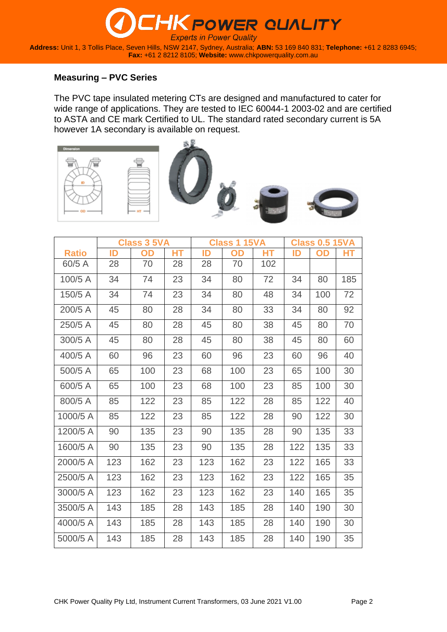**Address:** Unit 1, 3 Tollis Place, Seven Hills, NSW 2147, Sydney, Australia; **ABN:** 53 169 840 831; **Telephone:** +61 2 8283 6945; **Fax:** +61 2 8212 8105; **Website:** [www.chkpowerquality.com.au](http://www.chkpowerquality.com.au/)

#### **Measuring – PVC Series**

The PVC tape insulated metering CTs are designed and manufactured to cater for wide range of applications. They are tested to IEC 60044-1 2003-02 and are certified to ASTA and CE mark Certified to UL. The standard rated secondary current is 5A however 1A secondary is available on request.











|              |     | <b>Class 3 5VA</b> |           |     | <b>Class 1 15VA</b> |           |     | <b>Class 0.5 15VA</b> |     |
|--------------|-----|--------------------|-----------|-----|---------------------|-----------|-----|-----------------------|-----|
| <b>Ratio</b> | ID  | OD                 | <b>HT</b> | ID  | OD                  | <b>HT</b> | ID  | <b>OD</b>             | НT  |
| 60/5 A       | 28  | 70                 | 28        | 28  | 70                  | 102       |     |                       |     |
| 100/5 A      | 34  | 74                 | 23        | 34  | 80                  | 72        | 34  | 80                    | 185 |
| 150/5 A      | 34  | 74                 | 23        | 34  | 80                  | 48        | 34  | 100                   | 72  |
| 200/5 A      | 45  | 80                 | 28        | 34  | 80                  | 33        | 34  | 80                    | 92  |
| 250/5 A      | 45  | 80                 | 28        | 45  | 80                  | 38        | 45  | 80                    | 70  |
| 300/5 A      | 45  | 80                 | 28        | 45  | 80                  | 38        | 45  | 80                    | 60  |
| 400/5 A      | 60  | 96                 | 23        | 60  | 96                  | 23        | 60  | 96                    | 40  |
| 500/5 A      | 65  | 100                | 23        | 68  | 100                 | 23        | 65  | 100                   | 30  |
| 600/5 A      | 65  | 100                | 23        | 68  | 100                 | 23        | 85  | 100                   | 30  |
| 800/5 A      | 85  | 122                | 23        | 85  | 122                 | 28        | 85  | 122                   | 40  |
| 1000/5 A     | 85  | 122                | 23        | 85  | 122                 | 28        | 90  | 122                   | 30  |
| 1200/5 A     | 90  | 135                | 23        | 90  | 135                 | 28        | 90  | 135                   | 33  |
| 1600/5 A     | 90  | 135                | 23        | 90  | 135                 | 28        | 122 | 135                   | 33  |
| 2000/5 A     | 123 | 162                | 23        | 123 | 162                 | 23        | 122 | 165                   | 33  |
| 2500/5 A     | 123 | 162                | 23        | 123 | 162                 | 23        | 122 | 165                   | 35  |
| 3000/5 A     | 123 | 162                | 23        | 123 | 162                 | 23        | 140 | 165                   | 35  |
| 3500/5 A     | 143 | 185                | 28        | 143 | 185                 | 28        | 140 | 190                   | 30  |
| 4000/5 A     | 143 | 185                | 28        | 143 | 185                 | 28        | 140 | 190                   | 30  |
| 5000/5 A     | 143 | 185                | 28        | 143 | 185                 | 28        | 140 | 190                   | 35  |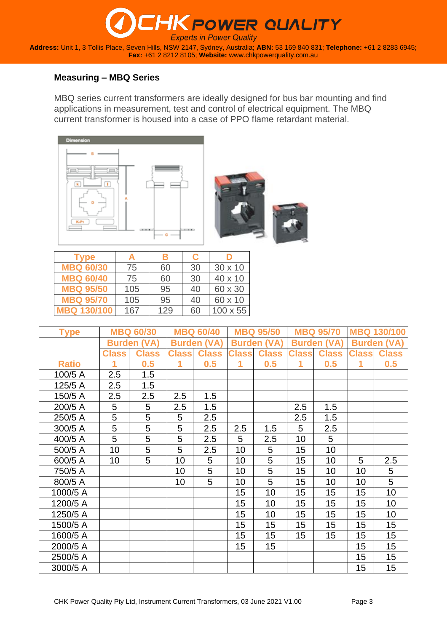### **K POWER QUALITY Experts in Power Quality Address:** Unit 1, 3 Tollis Place, Seven Hills, NSW 2147, Sydney, Australia; **ABN:** 53 169 840 831; **Telephone:** +61 2 8283 6945; **Fax:** +61 2 8212 8105; **Website:** [www.chkpowerquality.com.au](http://www.chkpowerquality.com.au/)

### **Measuring – MBQ Series**

MBQ series current transformers are ideally designed for bus bar mounting and find applications in measurement, test and control of electrical equipment. The MBQ current transformer is housed into a case of PPO flame retardant material.





| Type               | А   | В   | C  |                 |
|--------------------|-----|-----|----|-----------------|
| <b>MBQ 60/30</b>   | 75  | 60  | 30 | $30 \times 10$  |
| <b>MBQ 60/40</b>   | 75  | 60  | 30 | 40 x 10         |
| <b>MBQ 95/50</b>   | 105 | 95  | 40 | 60 x 30         |
| <b>MBQ 95/70</b>   | 105 | 95  | 40 | 60 x 10         |
| <b>MBQ 130/100</b> | 167 | 129 | 60 | $100 \times 55$ |

| <b>Type</b>  |              | <b>MBQ 60/30</b>   |              | <b>MBQ 60/40</b>   |              | <b>MBQ 95/50</b>   |               | <b>MBQ 95/70</b> | <b>MBQ</b>   | 130/100            |
|--------------|--------------|--------------------|--------------|--------------------|--------------|--------------------|---------------|------------------|--------------|--------------------|
|              |              | <b>Burden (VA)</b> |              | <b>Burden (VA)</b> |              | <b>Burden (VA)</b> | <b>Burden</b> | (VA)             |              | <b>Burden (VA)</b> |
|              | <b>Class</b> | <b>Class</b>       | <b>Class</b> | <b>Class</b>       | <b>Class</b> | <b>Class</b>       | <b>Class</b>  | <b>Class</b>     | <b>Class</b> | <b>Class</b>       |
| <b>Ratio</b> |              | 0.5                | 1            | 0.5                | 1            | 0.5                | 1             | 0.5              | 1            | 0.5                |
| 100/5 A      | 2.5          | 1.5                |              |                    |              |                    |               |                  |              |                    |
| 125/5 A      | 2.5          | 1.5                |              |                    |              |                    |               |                  |              |                    |
| 150/5 A      | 2.5          | 2.5                | 2.5          | 1.5                |              |                    |               |                  |              |                    |
| 200/5 A      | 5            |                    | 2.5          | 1.5                |              |                    | 2.5           | 1.5              |              |                    |
| 250/5 A      | 5            | $\frac{5}{5}$      | 5            | 2.5                |              |                    | 2.5           | 1.5              |              |                    |
| 300/5 A      | 5            | $\overline{5}$     | 5            | 2.5                | 2.5          | 1.5                | 5             | 2.5              |              |                    |
| 400/5 A      | 5            | $\overline{5}$     | 5            | 2.5                | 5            | 2.5                | 10            | 5                |              |                    |
| 500/5 A      | 10           | $\overline{5}$     | 5            | 2.5                | 10           | 5                  | 15            | 10               |              |                    |
| 600/5 A      | 10           | 5                  | 10           | 5                  | 10           | 5                  | 15            | 10               | 5            | 2.5                |
| 750/5 A      |              |                    | 10           | 5                  | 10           | 5                  | 15            | 10               | 10           | 5                  |
| 800/5 A      |              |                    | 10           | 5                  | 10           | 5                  | 15            | 10               | 10           | 5                  |
| 1000/5 A     |              |                    |              |                    | 15           | 10                 | 15            | 15               | 15           | 10                 |
| 1200/5 A     |              |                    |              |                    | 15           | 10                 | 15            | 15               | 15           | 10                 |
| 1250/5 A     |              |                    |              |                    | 15           | 10                 | 15            | 15               | 15           | 10                 |
| 1500/5 A     |              |                    |              |                    | 15           | 15                 | 15            | 15               | 15           | 15                 |
| 1600/5 A     |              |                    |              |                    | 15           | 15                 | 15            | 15               | 15           | 15                 |
| 2000/5 A     |              |                    |              |                    | 15           | 15 <sub>1</sub>    |               |                  | 15           | 15 <sub>1</sub>    |
| 2500/5 A     |              |                    |              |                    |              |                    |               |                  | 15           | 15                 |
| 3000/5 A     |              |                    |              |                    |              |                    |               |                  | 15           | 15                 |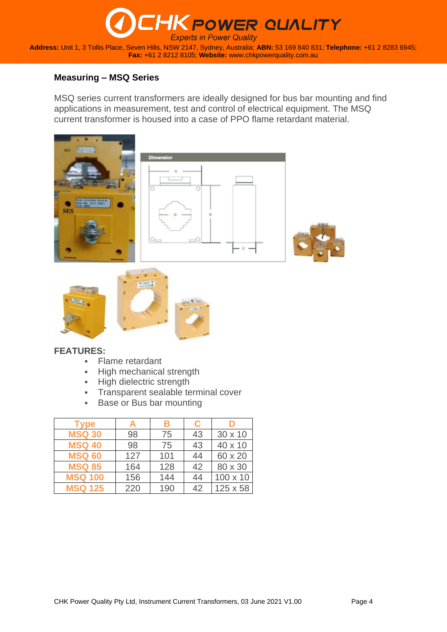### **HK POWER QUALITY Experts in Power Quality Address:** Unit 1, 3 Tollis Place, Seven Hills, NSW 2147, Sydney, Australia; **ABN:** 53 169 840 831; **Telephone:** +61 2 8283 6945; **Fax:** +61 2 8212 8105; **Website:** [www.chkpowerquality.com.au](http://www.chkpowerquality.com.au/)

#### **Measuring – MSQ Series**

MSQ series current transformers are ideally designed for bus bar mounting and find applications in measurement, test and control of electrical equipment. The MSQ current transformer is housed into a case of PPO flame retardant material.



#### **FEATURES:**

- Flame retardant
- **EXEC** High mechanical strength
- High dielectric strength
- **·** Transparent sealable terminal cover
- Base or Bus bar mounting

| <b>Type</b>    |     | В   | C  |                 |
|----------------|-----|-----|----|-----------------|
| <b>MSQ 30</b>  | 98  | 75  | 43 | $30 \times 10$  |
| <b>MSQ 40</b>  | 98  | 75  | 43 | 40 x 10         |
| <b>MSQ 60</b>  | 127 | 101 | 44 | 60 x 20         |
| <b>MSQ 85</b>  | 164 | 128 | 42 | 80 x 30         |
| <b>MSQ 100</b> | 156 | 144 | 44 | $100 \times 10$ |
| <b>MSQ 125</b> | 220 | 190 | 42 | 125 x 58        |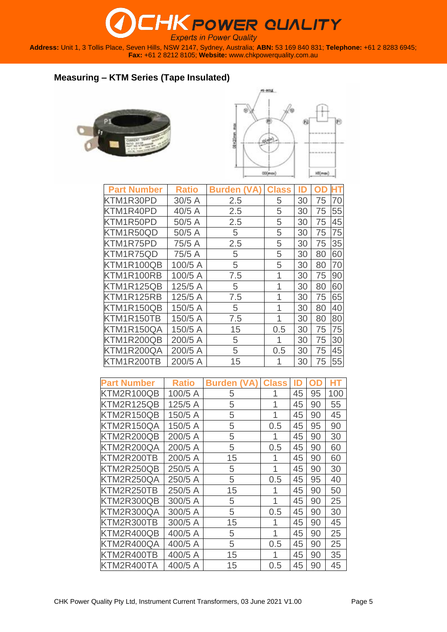**Address:** Unit 1, 3 Tollis Place, Seven Hills, NSW 2147, Sydney, Australia; **ABN:** 53 169 840 831; **Telephone:** +61 2 8283 6945; **Fax:** +61 2 8212 8105; **Website:** [www.chkpowerquality.com.au](http://www.chkpowerquality.com.au/)

### **Measuring – KTM Series (Tape Insulated)**





| <b>Part Number</b> | <b>Ratio</b> | <b>Burden (VA</b> | <b>Class</b> | ID |    |    |
|--------------------|--------------|-------------------|--------------|----|----|----|
| KTM1R30PD          | 30/5A        | 2.5               | 5            | 30 | 75 | 70 |
| KTM1R40PD          | 40/5A        | 2.5               | 5            | 30 | 75 | 55 |
| KTM1R50PD          | 50/5 A       | 2.5               | 5            | 30 | 75 | 45 |
| KTM1R50QD          | 50/5A        | 5                 | 5            | 30 | 75 | 75 |
| KTM1R75PD          | 75/5 A       | 2.5               | 5            | 30 | 75 | 35 |
| KTM1R75QD          | 75/5 A       | 5                 | 5            | 30 | 80 | 60 |
| KTM1R100QB         | 100/5 A      | 5                 | 5            | 30 | 80 | 70 |
| KTM1R100RB         | 100/5 A      | 7.5               | 1            | 30 | 75 | 90 |
| KTM1R125QB         | 125/5 A      | 5                 | 1            | 30 | 80 | 60 |
| KTM1R125RB         | 125/5 A      | 7.5               | 1            | 30 | 75 | 65 |
| KTM1R150QB         | 150/5 A      | 5                 | 1            | 30 | 80 | 40 |
| KTM1R150TB         | 150/5 A      | 7.5               | 1            | 30 | 80 | 80 |
| KTM1R150QA         | 150/5 A      | 15                | 0.5          | 30 | 75 | 75 |
| KTM1R200QB         | 200/5 A      | 5                 | 1            | 30 | 75 | 30 |
| KTM1R200QA         | 200/5 A      | 5                 | 0.5          | 30 | 75 | 45 |
| KTM1R200TB         | 200/5 A      | 15                | 1            | 30 | 75 | 55 |

| <b>Part Number</b> | <b>Ratio</b> | <b>Burden</b> | <b>Class</b> | ID | D<br>n | HT  |
|--------------------|--------------|---------------|--------------|----|--------|-----|
| KTM2R100QB         | 100/5 A      | 5             | 1            | 45 | 95     | 100 |
| KTM2R125QB         | 125/5 A      | 5             | 1            | 45 | 90     | 55  |
| KTM2R150QB         | 150/5 A      | 5             | 1            | 45 | 90     | 45  |
| KTM2R150QA         | 150/5 A      | 5             | 0.5          | 45 | 95     | 90  |
| KTM2R200QB         | 200/5 A      | 5             | 1            | 45 | 90     | 30  |
| KTM2R200QA         | 200/5 A      | 5             | 0.5          | 45 | 90     | 60  |
| KTM2R200TB         | 200/5 A      | 15            | 1            | 45 | 90     | 60  |
| KTM2R250QB         | 250/5 A      | 5             | 1            | 45 | 90     | 30  |
| KTM2R250QA         | 250/5 A      | 5             | 0.5          | 45 | 95     | 40  |
| KTM2R250TB         | 250/5 A      | 15            | 1            | 45 | 90     | 50  |
| KTM2R300QB         | 300/5 A      | 5             | 1            | 45 | 90     | 25  |
| KTM2R300QA         | 300/5 A      | 5             | 0.5          | 45 | 90     | 30  |
| KTM2R300TB         | 300/5 A      | 15            | 1            | 45 | 90     | 45  |
| KTM2R400QB         | 400/5 A      | 5             | 1            | 45 | 90     | 25  |
| KTM2R400QA         | 400/5 A      | 5             | 0.5          | 45 | 90     | 25  |
| KTM2R400TB         | 400/5 A      | 15            | 1            | 45 | 90     | 35  |
| KTM2R400TA         | 400/5 A      | 15            | 0.5          | 45 | 90     | 45  |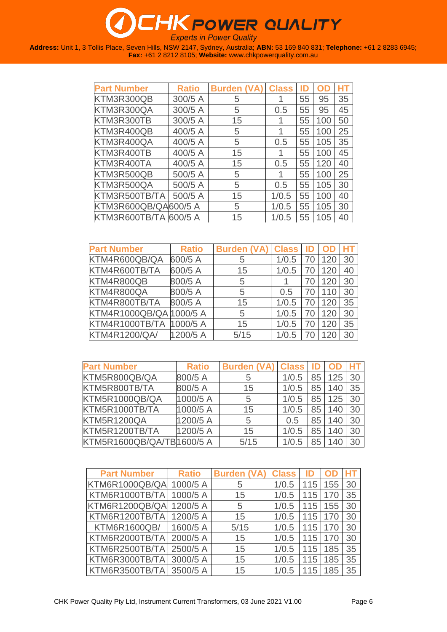| <b>Part Number</b>    | <b>Ratio</b> | <b>Burden (VA)</b> | <b>Class</b> |    |     |    |
|-----------------------|--------------|--------------------|--------------|----|-----|----|
| KTM3R300QB            | 300/5 A      | 5                  |              | 55 | 95  | 35 |
| KTM3R300QA            | 300/5 A      | 5                  | 0.5          | 55 | 95  | 45 |
| KTM3R300TB            | 300/5 A      | 15                 |              | 55 | 100 | 50 |
| KTM3R400QB            | 400/5 A      | 5                  |              | 55 | 100 | 25 |
| KTM3R400QA            | 400/5 A      | 5                  | 0.5          | 55 | 105 | 35 |
| KTM3R400TB            | 400/5 A      | 15                 | 1            | 55 | 100 | 45 |
| KTM3R400TA            | 400/5 A      | 15                 | 0.5          | 55 | 120 | 40 |
| KTM3R500QB            | 500/5 A      | 5                  |              | 55 | 100 | 25 |
| KTM3R500QA            | 500/5 A      | 5                  | 0.5          | 55 | 105 | 30 |
| KTM3R500TB/TA         | 500/5 A      | 15                 | 1/0.5        | 55 | 100 | 40 |
| KTM3R600QB/QA600/5 A  |              | 5                  | 1/0.5        | 55 | 105 | 30 |
| KTM3R600TB/TA 600/5 A |              | 15                 | 1/0.5        | 55 | 105 | 40 |

| <b>Part Number</b>      | <b>Ratio</b> | <b>Burden (VA)</b> | <b>Class</b> | ID |     |    |
|-------------------------|--------------|--------------------|--------------|----|-----|----|
| KTM4R600QB/QA           | 600/5 A      | 5                  | 1/0.5        | 70 | 120 | 30 |
| KTM4R600TB/TA           | 600/5 A      | 15                 | 1/0.5        | 70 | 120 | 40 |
| KTM4R800QB              | 800/5 A      | 5                  |              |    | 120 | 30 |
| KTM4R800QA              | 800/5 A      | 5                  | 0.5          | 70 | 110 | 30 |
| KTM4R800TB/TA           | 800/5 A      | 15                 | 1/0.5        | 70 | 120 | 35 |
| KTM4R1000QB/QA 1000/5 A |              | 5                  | 1/0.5        | 70 | 120 | 30 |
| KTM4R1000TB/TA          | 1000/5A      | 15                 | 1/0.5        | 70 | 120 | 35 |
| <b>KTM4R1200/QA/</b>    | 1200/5 A     | 5/15               | 1/0.5        |    | 120 | 30 |

| <b>Part Number</b>        | <b>Ratio</b> | Burden (VA) Class |       | ID |     |    |
|---------------------------|--------------|-------------------|-------|----|-----|----|
| KTM5R800QB/QA             | 800/5 A      | 5                 | 1/0.5 | 85 | 125 | 30 |
| KTM5R800TB/TA             | 800/5 A      | 15                | 1/0.5 | 85 | 140 | 35 |
| KTM5R1000QB/QA            | 1000/5 A     | 5                 | 1/0.5 | 85 | 125 | 30 |
| KTM5R1000TB/TA            | 1000/5 A     | 15                | 1/0.5 | 85 | 140 | 30 |
| KTM5R1200QA               | 1200/5 A     | 5                 | 0.5   | 85 | 140 | 30 |
| KTM5R1200TB/TA            | 1200/5 A     | 15                | 1/0.5 | 85 | 140 | 30 |
| KTM5R1600QB/QA/TB1600/5 A |              | 5/15              |       | 85 | 140 |    |

| <b>Part Number</b>      | <b>Ratio</b> | <b>Burden (VA)</b> | <b>Class</b> |     |     |    |
|-------------------------|--------------|--------------------|--------------|-----|-----|----|
| KTM6R1000QB/QA 1000/5 A |              | 5                  | 1/0.5        | 115 | 155 | 30 |
| KTM6R1000TB/TA          | $1000/5$ A   | 15                 | 1/0.5        | 115 | 170 | 35 |
| KTM6R1200QB/QA 1200/5 A |              | 5                  | 1/0.5        | 115 | 155 | 30 |
| KTM6R1200TB/TA          | 1200/5 A     | 15                 | 1/0.5        | 115 | 170 | 30 |
| KTM6R1600QB/            | 1600/5 A     | 5/15               | 1/0.5        | 115 | 170 | 30 |
| KTM6R2000TB/TA          | 2000/5 A     | 15                 | 1/0.5        | 115 | 170 | 30 |
| KTM6R2500TB/TA          | 2500/5 A     | 15                 | 1/0.5        | 115 | 185 | 35 |
| KTM6R3000TB/TA          | 3000/5 A     | 15                 | 1/0.5        | 115 | 185 | 35 |
| KTM6R3500TB/TA          | 3500/5 A     | 15                 |              | 115 | 185 | 35 |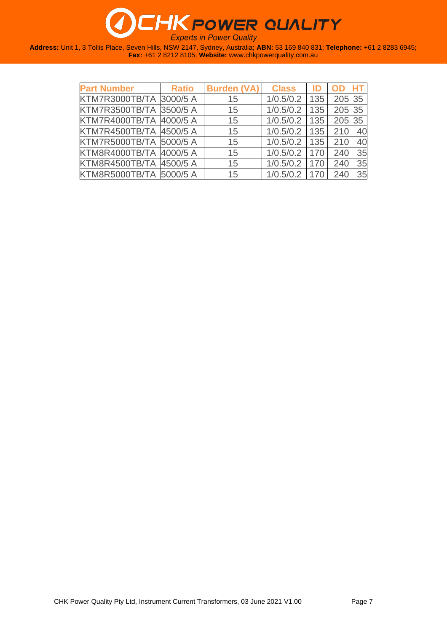| <b>Part Number</b>      | <b>Ratio</b> | <b>Burden (VA)</b> | <b>Class</b> | ID  |     |     |
|-------------------------|--------------|--------------------|--------------|-----|-----|-----|
| KTM7R3000TB/TA 3000/5 A |              | 15                 | 1/0.5/0.2    | 135 | 205 | -35 |
| KTM7R3500TB/TA 3500/5 A |              | 15                 | 1/0.5/0.2    | 135 | 205 | 35  |
| KTM7R4000TB/TA 4000/5 A |              | 15                 | 1/0.5/0.2    | 135 | 205 | 35  |
| KTM7R4500TB/TA 4500/5 A |              | 15                 | 1/0.5/0.2    | 135 | 210 |     |
| KTM7R5000TB/TA 5000/5 A |              | 15                 | 1/0.5/0.2    | 135 | 210 | 40  |
| KTM8R4000TB/TA 4000/5 A |              | 15                 | 1/0.5/0.2    | 170 | 240 | 35  |
| KTM8R4500TB/TA 4500/5 A |              | 15                 | 1/0.5/0.2    | 170 | 240 | 35  |
| KTM8R5000TB/TA 5000/5 A |              | 15                 | 1/0.5/0.2    | 170 | 240 | 35  |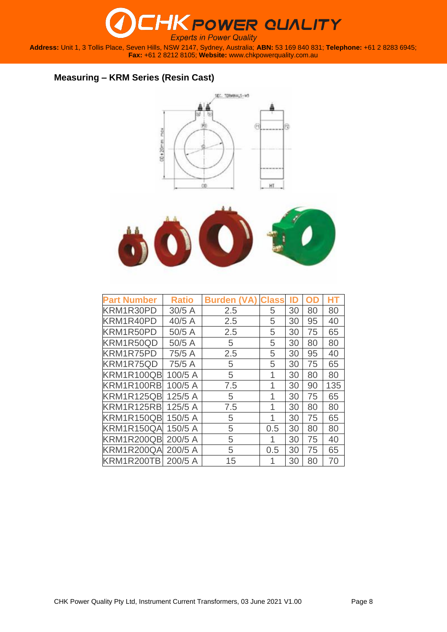

**Address:** Unit 1, 3 Tollis Place, Seven Hills, NSW 2147, Sydney, Australia; **ABN:** 53 169 840 831; **Telephone:** +61 2 8283 6945; **Fax:** +61 2 8212 8105; **Website:** [www.chkpowerquality.com.au](http://www.chkpowerquality.com.au/)

### **Measuring – KRM Series (Resin Cast)**





| <b>Part Number</b> | <b>Ratio</b> | <b>Burden</b> | <b>Class</b> | ID | n  |     |
|--------------------|--------------|---------------|--------------|----|----|-----|
| KRM1R30PD          | 30/5A        | 2.5           | 5            | 30 | 80 | 80  |
| KRM1R40PD          | 40/5 A       | 2.5           | 5            | 30 | 95 | 40  |
| KRM1R50PD          | 50/5 A       | 2.5           | 5            | 30 | 75 | 65  |
| KRM1R50QD          | 50/5 A       | 5             | 5            | 30 | 80 | 80  |
| KRM1R75PD          | 75/5 A       | 2.5           | 5            | 30 | 95 | 40  |
| KRM1R75QD          | 75/5 A       | 5             | 5            | 30 | 75 | 65  |
| KRM1R100QB         | 100/5 A      | 5             | 1            | 30 | 80 | 80  |
| KRM1R100RB         | 100/5 A      | 7.5           | 1            | 30 | 90 | 135 |
| KRM1R125QB         | 125/5 A      | 5             | 1            | 30 | 75 | 65  |
| KRM1R125RB         | 125/5 A      | 7.5           | 1            | 30 | 80 | 80  |
| KRM1R150QB         | 150/5 A      | 5             | 1            | 30 | 75 | 65  |
| KRM1R150QA         | 150/5 A      | 5             | 0.5          | 30 | 80 | 80  |
| KRM1R200QB         | 200/5 A      | 5             | 1            | 30 | 75 | 40  |
| KRM1R200QA         | 200/5 A      | 5             | 0.5          | 30 | 75 | 65  |
| KRM1R200TB         | 200/5 A      | 15            | 1            | 30 | 80 | 70  |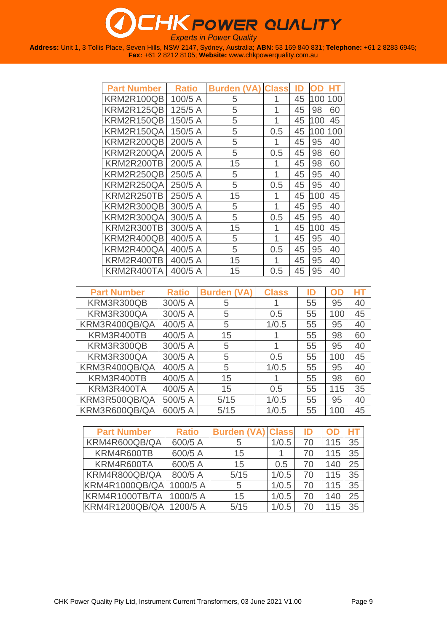# **THK POWER QUALITY**

**Experts in Power Quality** 

| <b>Part Number</b> | <b>Ratio</b> | <b>Burden</b><br>(VA) | <b>Class</b> | ID |     |     |
|--------------------|--------------|-----------------------|--------------|----|-----|-----|
| KRM2R100QB         | 100/5 A      | 5                     | 1            | 45 | 100 | 100 |
| KRM2R125QB         | 125/5 A      | 5                     | 1            | 45 | 98  | 60  |
| KRM2R150QB         | 150/5 A      | 5                     | 1            | 45 | 100 | 45  |
| KRM2R150QA         | 150/5 A      | 5                     | 0.5          | 45 | 100 | 100 |
| KRM2R200QB         | 200/5 A      | 5                     | 1            | 45 | 95  | 40  |
| KRM2R200QA         | 200/5 A      | 5                     | 0.5          | 45 | 98  | 60  |
| KRM2R200TB         | 200/5 A      | 15                    | 1            | 45 | 98  | 60  |
| KRM2R250QB         | 250/5 A      | 5                     | 1            | 45 | 95  | 40  |
| KRM2R250QA         | 250/5 A      | 5                     | 0.5          | 45 | 95  | 40  |
| KRM2R250TB         | 250/5 A      | 15                    | 1            | 45 | 100 | 45  |
| KRM2R300QB         | 300/5 A      | 5                     | 1            | 45 | 95  | 40  |
| KRM2R300QA         | 300/5 A      | 5                     | 0.5          | 45 | 95  | 40  |
| KRM2R300TB         | 300/5 A      | 15                    | 1            | 45 | 100 | 45  |
| KRM2R400QB         | 400/5 A      | 5                     | 1            | 45 | 95  | 40  |
| KRM2R400QA         | 400/5 A      | 5                     | 0.5          | 45 | 95  | 40  |
| KRM2R400TB         | 400/5 A      | 15                    | 1            | 45 | 95  | 40  |
| KRM2R400TA         | 400/5 A      | 15                    | 0.5          | 45 | 95  | 40  |

| <b>Part Number</b> | <b>Ratio</b> | <b>Burden (VA)</b> | <b>Class</b> | ID | OD  | HT |
|--------------------|--------------|--------------------|--------------|----|-----|----|
| KRM3R300QB         | 300/5 A      | 5                  |              | 55 | 95  | 40 |
| KRM3R300QA         | 300/5 A      | 5                  | 0.5          | 55 | 100 | 45 |
| KRM3R400QB/QA      | 400/5 A      | 5                  | 1/0.5        | 55 | 95  | 40 |
| KRM3R400TB         | 400/5 A      | 15                 |              | 55 | 98  | 60 |
| KRM3R300QB         | 300/5 A      | 5                  |              | 55 | 95  | 40 |
| KRM3R300QA         | 300/5 A      | 5                  | 0.5          | 55 | 100 | 45 |
| KRM3R400QB/QA      | 400/5 A      | 5                  | 1/0.5        | 55 | 95  | 40 |
| KRM3R400TB         | 400/5 A      | 15                 |              | 55 | 98  | 60 |
| KRM3R400TA         | 400/5 A      | 15                 | 0.5          | 55 | 115 | 35 |
| KRM3R500QB/QA      | 500/5 A      | 5/15               | 1/0.5        | 55 | 95  | 40 |
| KRM3R600QB/QA      | 600/5 A      | 5/15               | 1/0.5        | 55 | 100 | 45 |

| <b>Part Number</b>      | <b>Ratio</b> | <b>Burden (VA) Class</b> |       | ID | OD  |    |
|-------------------------|--------------|--------------------------|-------|----|-----|----|
| KRM4R600QB/QA           | 600/5 A      | 5                        | 1/0.5 | 70 | 115 | 35 |
| KRM4R600TB              | 600/5 A      | 15                       |       | 70 | 115 | 35 |
| KRM4R600TA              | 600/5 A      | 15                       | 0.5   | 70 | 140 | 25 |
| KRM4R800QB/QA           | 800/5 A      | 5/15                     | 1/0.5 | 70 | 115 | 35 |
| KRM4R1000QB/QA          | 1000/5 A     | 5                        | 1/0.5 | 70 | 115 | 35 |
| KRM4R1000TB/TA          | 1000/5 A     | 15                       | 1/0.5 | 70 | 140 | 25 |
| KRM4R1200QB/QA 1200/5 A |              | 5/15                     | 1/0.5 | 70 | 115 | 35 |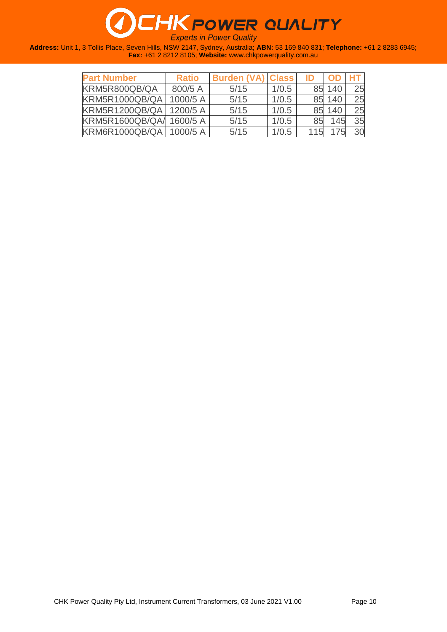| <b>Part Number</b>        | <b>Ratio</b> | <b>Burden (VA) Class</b> |       | ID  |        |    |
|---------------------------|--------------|--------------------------|-------|-----|--------|----|
| KRM5R800QB/QA             | 800/5 A      | 5/15                     | 1/0.5 |     | 85 140 | 25 |
| <b>KRM5R1000QB/QA</b>     | 1000/5 A     | 5/15                     | 1/0.5 |     | 85 140 | 25 |
| <b>KRM5R1200QB/QA</b>     | 1200/5A      | 5/15                     | 1/0.5 |     | 85 140 | 25 |
| KRM5R1600QB/QA/ 1600/5 A  |              | 5/15                     | 1/0.5 | 85  | 145    | 35 |
| KRM6R1000QB/QA   1000/5 A |              | 5/15                     | 1/0.5 | 115 | 175    | 30 |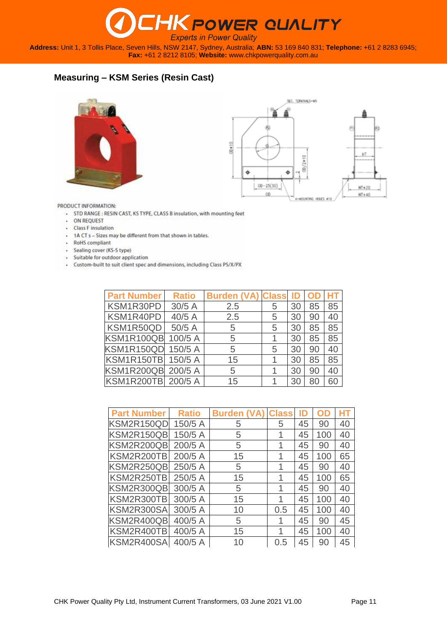**Address:** Unit 1, 3 Tollis Place, Seven Hills, NSW 2147, Sydney, Australia; **ABN:** 53 169 840 831; **Telephone:** +61 2 8283 6945; **Fax:** +61 2 8212 8105; **Website:** [www.chkpowerquality.com.au](http://www.chkpowerquality.com.au/)

### **Measuring – KSM Series (Resin Cast)**





PRODUCT INFORMATION:

- STD RANGE : RESIN CAST, KS TYPE, CLASS B insulation, with mounting feet
- ON REQUEST
- Class F insulation
- 1A CT s Sizes may be different from that shown in tables.
- + RoHS compliant
- Sealing cover (KS-S type)
- · Suitable for outdoor application
- Custom-built to suit client spec and dimensions, including Class PS/X/PX

| <b>Part Number</b>        | <b>Ratio</b> | <b>Burden (VA) Class</b> |   | ID | <b>OD</b> |    |
|---------------------------|--------------|--------------------------|---|----|-----------|----|
| KSM1R30PD                 | 30/5A        | 2.5                      | 5 | 30 | 85        | 85 |
| KSM1R40PD                 | 40/5 A       | 2.5                      | 5 | 30 | 90        | 40 |
| KSM1R50QD                 | 50/5 A       | 5                        | 5 | 30 | 85        | 85 |
| KSM1R100QB                | 100/5 A      | 5                        |   | 30 | 85        | 85 |
| <b>KSM1R150QD</b> 150/5 A |              | 5                        | 5 | 30 | 90        | 40 |
| <b>KSM1R150TB</b> 150/5 A |              | 15                       |   | 30 | 85        | 85 |
| KSM1R200QB 200/5 A        |              | 5                        |   | 30 | 90        | 40 |
| KSM1R200TB 200/5 A        |              | 15                       |   | 30 | 80        | 60 |

| <b>Part Number</b> | <b>Ratio</b> | <b>Burden (VA)</b> | <b>Class</b> | ID | OD  | HT |
|--------------------|--------------|--------------------|--------------|----|-----|----|
| KSM2R150QD         | 150/5 A      | 5                  | 5            | 45 | 90  | 40 |
| KSM2R150QB         | 150/5 A      | 5                  | 1            | 45 | 100 | 40 |
| KSM2R200QB         | 200/5 A      | 5                  | 1            | 45 | 90  | 40 |
| KSM2R200TB         | 200/5 A      | 15                 | 1            | 45 | 100 | 65 |
| KSM2R250QB         | 250/5 A      | 5                  | 1            | 45 | 90  | 40 |
| KSM2R250TB         | 250/5 A      | 15                 | 1            | 45 | 100 | 65 |
| KSM2R300QB         | 300/5 A      | 5                  | 1            | 45 | 90  | 40 |
| KSM2R300TB         | 300/5 A      | 15                 | 1            | 45 | 100 | 40 |
| KSM2R300SA         | 300/5 A      | 10                 | 0.5          | 45 | 100 | 40 |
| KSM2R400QB         | 400/5 A      | 5                  | 1            | 45 | 90  | 45 |
| KSM2R400TB         | 400/5 A      | 15                 | 1            | 45 | 100 | 40 |
| KSM2R400SA         | 400/5 A      | 10                 | 0.5          | 45 | 90  | 45 |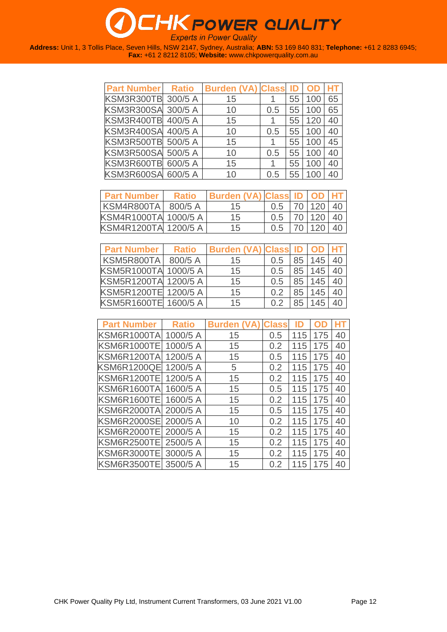| <b>Part Number</b>        | <b>Ratio</b> | <b>Burden (VA) Class</b> |     | ID |     |    |
|---------------------------|--------------|--------------------------|-----|----|-----|----|
| <b>KSM3R300TB 300/5 A</b> |              | 15                       |     | 55 | 100 | 65 |
| KSM3R300SA 300/5 A        |              | 10                       | 0.5 | 55 | 100 | 65 |
| KSM3R400TB 400/5 A        |              | 15                       |     | 55 | 120 | 40 |
| KSM3R400SA 400/5 A        |              | 10                       | 0.5 | 55 | 100 | 40 |
| KSM3R500TB 500/5 A        |              | 15                       |     | 55 | 100 | 45 |
| KSM3R500SA 500/5 A        |              | 10                       | 0.5 | 55 | 100 | 40 |
| KSM3R600TB 600/5 A        |              | 15                       |     | 55 | 100 | 40 |
| KSM3R600SA 600/5 A        |              | 10                       | 0.5 | 55 | 100 |    |

| <b>Part Number</b>   | <b>Ratio</b> | Burden (VA) Class ID OD HT |     |        |    |
|----------------------|--------------|----------------------------|-----|--------|----|
| KSM4R800TA           | 800/5A       | 15                         | 0.5 | 70 120 | 40 |
| KSM4R1000TA 1000/5 A |              | 15                         | 0.5 | 70 120 | 40 |
| KSM4R1200TA 1200/5 A |              | 15                         | 0.5 | 70 120 |    |

| <b>Part Number</b>   | <b>Ratio</b> | Burden (VA) Class ID   OD   HT |                |    |     |    |
|----------------------|--------------|--------------------------------|----------------|----|-----|----|
| KSM5R800TA           | 800/5 A      | 15                             | 0.5            | 85 | 145 | 40 |
| KSM5R1000TA 1000/5 A |              | 15                             | 0.5            | 85 | 145 | 40 |
| KSM5R1200TA 1200/5 A |              | 15                             | 0.5            | 85 | 145 | 40 |
| KSM5R1200TE 1200/5 A |              | 15                             | 0 <sup>2</sup> | 85 | 145 | 40 |
| KSM5R1600TE 1600/5 A |              | 15                             | 0.2            | 85 | 145 |    |

| <b>Part Number</b> | <b>Ratio</b> | <b>Burden</b> | <b>Class</b> | ID  |     |    |
|--------------------|--------------|---------------|--------------|-----|-----|----|
|                    |              |               |              |     |     |    |
| KSM6R1000TA        | 1000/5 A     | 15            | 0.5          | 115 | 175 | 40 |
| KSM6R1000TE        | 1000/5 A     | 15            | 0.2          | 115 | 175 | 40 |
| KSM6R1200TA        | 1200/5 A     | 15            | 0.5          | 115 | 175 | 40 |
| <b>KSM6R1200QE</b> | 1200/5 A     | 5             | 0.2          | 115 | 175 | 40 |
| KSM6R1200TE        | 1200/5 A     | 15            | 0.2          | 115 | 175 | 40 |
| KSM6R1600TA        | 1600/5 A     | 15            | 0.5          | 115 | 175 | 40 |
| KSM6R1600TE        | 1600/5 A     | 15            | 0.2          | 115 | 175 | 40 |
| KSM6R2000TA        | 2000/5 A     | 15            | 0.5          | 115 | 175 | 40 |
| <b>KSM6R2000SE</b> | 2000/5 A     | 10            | 0.2          | 115 | 175 | 40 |
| KSM6R2000TE        | 2000/5 A     | 15            | 0.2          | 115 | 175 | 40 |
| KSM6R2500TE        | 2500/5 A     | 15            | 0.2          | 115 | 175 | 40 |
| KSM6R3000TE        | 3000/5 A     | 15            | 0.2          | 115 | 175 | 40 |
| KSM6R3500TE        | 3500/5 A     | 15            | 0.2          | 115 | 175 | 40 |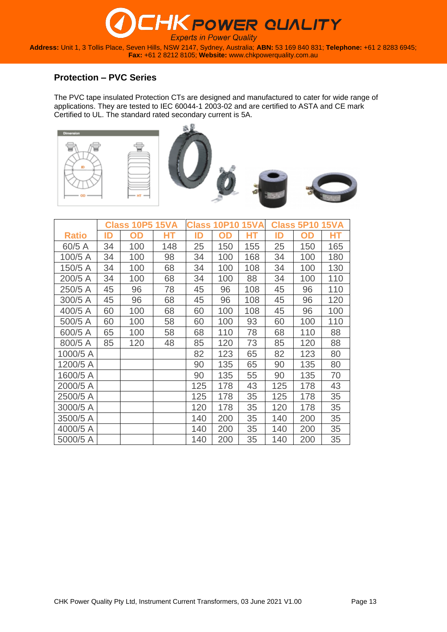**Address:** Unit 1, 3 Tollis Place, Seven Hills, NSW 2147, Sydney, Australia; **ABN:** 53 169 840 831; **Telephone:** +61 2 8283 6945; **Fax:** +61 2 8212 8105; **Website:** [www.chkpowerquality.com.au](http://www.chkpowerquality.com.au/)

#### **Protection – PVC Series**

The PVC tape insulated Protection CTs are designed and manufactured to cater for wide range of applications. They are tested to IEC 60044-1 2003-02 and are certified to ASTA and CE mark Certified to UL. The standard rated secondary current is 5A.











|              |    | <b>Class 10P5 15VA</b> |     |     | <b>Class 10P10</b> | <b>15VA</b> |     | <b>Class 5P10 15VA</b> |     |
|--------------|----|------------------------|-----|-----|--------------------|-------------|-----|------------------------|-----|
| <b>Ratio</b> | ID | OD                     | HТ  | ID  | OD                 | НT          | ID  | OD                     | HТ  |
| 60/5 A       | 34 | 100                    | 148 | 25  | 150                | 155         | 25  | 150                    | 165 |
| 100/5 A      | 34 | 100                    | 98  | 34  | 100                | 168         | 34  | 100                    | 180 |
| 150/5 A      | 34 | 100                    | 68  | 34  | 100                | 108         | 34  | 100                    | 130 |
| 200/5 A      | 34 | 100                    | 68  | 34  | 100                | 88          | 34  | 100                    | 110 |
| 250/5 A      | 45 | 96                     | 78  | 45  | 96                 | 108         | 45  | 96                     | 110 |
| 300/5 A      | 45 | 96                     | 68  | 45  | 96                 | 108         | 45  | 96                     | 120 |
| 400/5 A      | 60 | 100                    | 68  | 60  | 100                | 108         | 45  | 96                     | 100 |
| 500/5 A      | 60 | 100                    | 58  | 60  | 100                | 93          | 60  | 100                    | 110 |
| 600/5 A      | 65 | 100                    | 58  | 68  | 110                | 78          | 68  | 110                    | 88  |
| 800/5 A      | 85 | 120                    | 48  | 85  | 120                | 73          | 85  | 120                    | 88  |
| 1000/5 A     |    |                        |     | 82  | 123                | 65          | 82  | 123                    | 80  |
| 1200/5 A     |    |                        |     | 90  | 135                | 65          | 90  | 135                    | 80  |
| 1600/5 A     |    |                        |     | 90  | 135                | 55          | 90  | 135                    | 70  |
| 2000/5 A     |    |                        |     | 125 | 178                | 43          | 125 | 178                    | 43  |
| 2500/5 A     |    |                        |     | 125 | 178                | 35          | 125 | 178                    | 35  |
| 3000/5 A     |    |                        |     | 120 | 178                | 35          | 120 | 178                    | 35  |
| 3500/5 A     |    |                        |     | 140 | 200                | 35          | 140 | 200                    | 35  |
| 4000/5 A     |    |                        |     | 140 | 200                | 35          | 140 | 200                    | 35  |
| 5000/5 A     |    |                        |     | 140 | 200                | 35          | 140 | 200                    | 35  |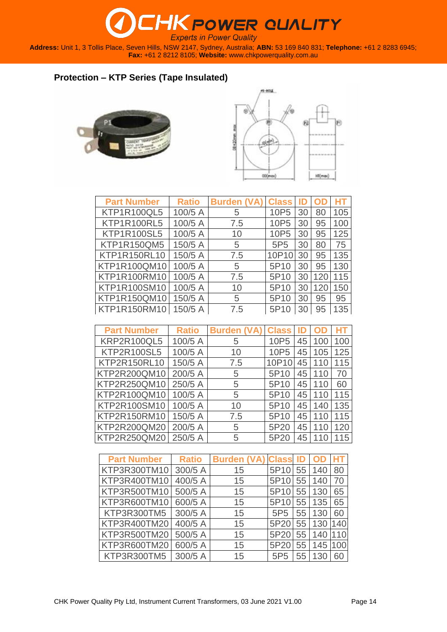**Address:** Unit 1, 3 Tollis Place, Seven Hills, NSW 2147, Sydney, Australia; **ABN:** 53 169 840 831; **Telephone:** +61 2 8283 6945; **Fax:** +61 2 8212 8105; **Website:** [www.chkpowerquality.com.au](http://www.chkpowerquality.com.au/)

### **Protection – KTP Series (Tape Insulated)**





| <b>Part Number</b>  | <b>Ratio</b> | <b>Burden (VA)</b> | <b>Class</b>     |    |     |     |
|---------------------|--------------|--------------------|------------------|----|-----|-----|
| <b>KTP1R100QL5</b>  | 100/5 A      | 5                  | 10P <sub>5</sub> | 30 | 80  | 105 |
| <b>KTP1R100RL5</b>  | 100/5 A      | 7.5                | 10P <sub>5</sub> | 30 | 95  | 100 |
| <b>KTP1R100SL5</b>  | 100/5 A      | 10                 | 10P <sub>5</sub> | 30 | 95  | 125 |
| <b>KTP1R150QM5</b>  | 150/5 A      | 5                  | 5P <sub>5</sub>  | 30 | 80  | 75  |
| <b>KTP1R150RL10</b> | 150/5 A      | 7.5                | 10P10            | 30 | 95  | 135 |
| KTP1R100QM10        | 100/5 A      | 5                  | 5P <sub>10</sub> | 30 | 95  | 130 |
| KTP1R100RM10        | 100/5 A      | 7.5                | 5P <sub>10</sub> | 30 | 120 | 115 |
| KTP1R100SM10        | 100/5 A      | 10                 | 5P10             | 30 | 120 | 150 |
| KTP1R150QM10        | 150/5 A      | 5                  | 5P10             | 30 | 95  | 95  |
| KTP1R150RM10        | 150/5 A      | 7.5                | 5P <sub>10</sub> | 30 | 95  | 135 |

| <b>Part Number</b> | <b>Ratio</b> | <b>Burden (VA)</b> | <b>Class</b>     | ID |     | HТ  |
|--------------------|--------------|--------------------|------------------|----|-----|-----|
| <b>KRP2R100QL5</b> | 100/5 A      | 5                  | 10P <sub>5</sub> | 45 | 100 | 100 |
| <b>KTP2R100SL5</b> | 100/5 A      | 10                 | 10P <sub>5</sub> | 45 | 105 | 125 |
| KTP2R150RL10       | 150/5 A      | 7.5                | 10P10            | 45 | 110 | 115 |
| KTP2R200QM10       | 200/5 A      | 5                  | 5P10             | 45 | 110 | 70  |
| KTP2R250QM10       | 250/5 A      | 5                  | 5P <sub>10</sub> | 45 | 110 | 60  |
| KTP2R100QM10       | 100/5 A      | 5                  | 5P <sub>10</sub> | 45 | 110 | 115 |
| KTP2R100SM10       | 100/5 A      | 10                 | 5P10             | 45 | 140 | 135 |
| KTP2R150RM10       | 150/5 A      | 7.5                | 5P <sub>10</sub> | 45 | 110 | 115 |
| KTP2R200QM20       | 200/5 A      | 5                  | 5P20             | 45 | 110 | 120 |
| KTP2R250QM20       | 250/5 A      | 5                  | 5P20             | 45 | 110 | 15  |

| <b>Part Number</b> | <b>Ratio</b> | <b>Burden (VA)</b> | <b>Class ID</b>  |    |     |     |
|--------------------|--------------|--------------------|------------------|----|-----|-----|
| KTP3R300TM10       | 300/5 A      | 15                 | 5P <sub>10</sub> | 55 | 140 | 80  |
| KTP3R400TM10       | 400/5 A      | 15                 | 5P10             | 55 | 140 | 70  |
| KTP3R500TM10       | 500/5 A      | 15                 | 5P10             | 55 | 130 | 65  |
| KTP3R600TM10       | 600/5 A      | 15                 | 5P <sub>10</sub> | 55 | 135 | 65  |
| KTP3R300TM5        | 300/5 A      | 15                 | 5P <sub>5</sub>  | 55 | 130 | 60  |
| KTP3R400TM20       | 400/5 A      | 15                 | 5P20             | 55 | 130 | 140 |
| KTP3R500TM20       | 500/5 A      | 15                 | 5P20             | 55 | 140 |     |
| KTP3R600TM20       | 600/5 A      | 15                 | 5P20             | 55 | 145 | 100 |
| KTP3R300TM5        | 300/5 A      | 15                 | 5P <sub>5</sub>  | 55 | 130 | 60  |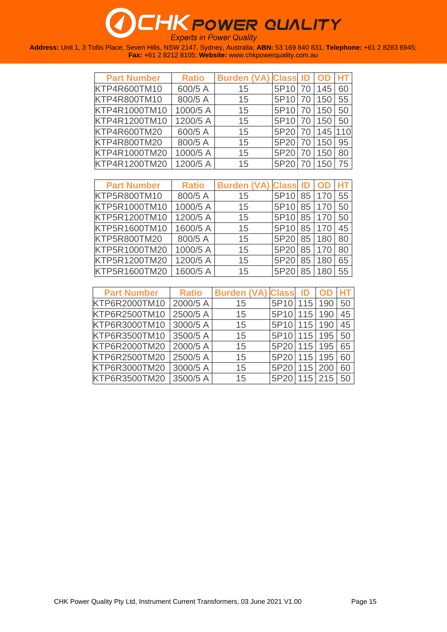| <b>Part Number</b>  | <b>Ratio</b> | <b>Burden (VA) Class ID OD</b> |                  |    |         |    |
|---------------------|--------------|--------------------------------|------------------|----|---------|----|
| KTP4R600TM10        | 600/5 A      | 15                             | 5P10             | 70 | 145     | 60 |
| KTP4R800TM10        | 800/5 A      | 15                             | 5P10             | 70 | 150     | 55 |
| KTP4R1000TM10       | 1000/5 A     | 15                             | 5P10             | 70 | 150     | 50 |
| KTP4R1200TM10       | 1200/5 A     | 15                             | 5P <sub>10</sub> | 70 | 150     | 50 |
| <b>KTP4R600TM20</b> | 600/5 A      | 15                             | 5P20             | 70 | 145 110 |    |
| <b>KTP4R800TM20</b> | 800/5 A      | 15                             | 5P20             | 70 | 150     | 95 |
| KTP4R1000TM20       | 1000/5 A     | 15                             | 5P20             | 70 | 150     | 80 |
| KTP4R1200TM20       | 1200/5 A     | 15                             | 5P20             |    | 150     | 75 |

| <b>Part Number</b>  | <b>Ratio</b> | <b>Burden (VA) Class ID OD</b> |             |                 |     |    |
|---------------------|--------------|--------------------------------|-------------|-----------------|-----|----|
| KTP5R800TM10        | 800/5 A      | 15                             | 5P10 85 170 |                 |     | 55 |
| KTP5R1000TM10       | 1000/5 A     | 15                             | 5P10        | 85 <sup>1</sup> | 170 | 50 |
| KTP5R1200TM10       | 1200/5 A     | 15                             | 5P10        | 85 <sup>1</sup> | 170 | 50 |
| KTP5R1600TM10       | 1600/5 A     | 15                             | 5P10 85 170 |                 |     | 45 |
| <b>KTP5R800TM20</b> | 800/5 A      | 15                             | 5P20 85     |                 | 180 | 80 |
| KTP5R1000TM20       | 1000/5 A     | 15                             | 5P20        | 85              | 170 | 80 |
| KTP5R1200TM20       | 1200/5 A     | 15                             | 5P20        | 85              | 180 | 65 |
| KTP5R1600TM20       | 1600/5 A     | 15                             | 5P20        | 85              | 180 | 55 |

| <b>Part Number</b> | <b>Ratio</b> | <b>Burden (VA) Class</b> |              | - ID | <b>OD HT</b> |    |
|--------------------|--------------|--------------------------|--------------|------|--------------|----|
| KTP6R2000TM10      | 2000/5 A     | 15                       | 5P10         | 115  | 190          | 50 |
| KTP6R2500TM10      | 2500/5 A     | 15                       | 5P10 115     |      | 190          | 45 |
| KTP6R3000TM10      | 3000/5 A     | 15                       | 5P10 115     |      | 190          | 45 |
| KTP6R3500TM10      | 3500/5 A     | 15                       | 5P10 115 195 |      |              | 50 |
| KTP6R2000TM20      | 2000/5 A     | 15                       | 5P20 115     |      | 195          | 65 |
| KTP6R2500TM20      | 2500/5 A     | 15                       | 5P20 115     |      | 195          | 60 |
| KTP6R3000TM20      | 3000/5 A     | 15                       | 5P20         | 115  | 200          | 60 |
| KTP6R3500TM20      | 3500/5 A     | 15                       | 5P20 115 215 |      |              | 50 |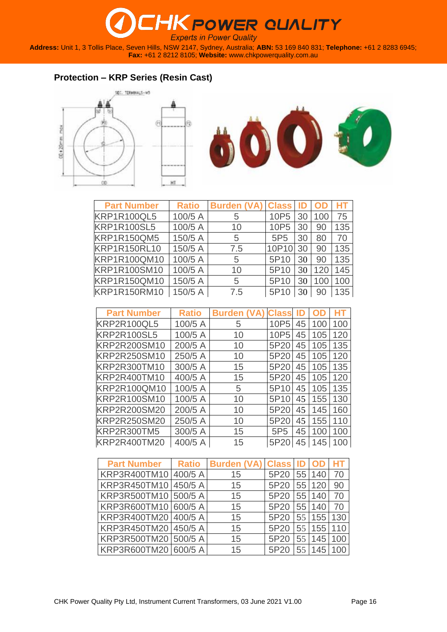**Address:** Unit 1, 3 Tollis Place, Seven Hills, NSW 2147, Sydney, Australia; **ABN:** 53 169 840 831; **Telephone:** +61 2 8283 6945; **Fax:** +61 2 8212 8105; **Website:** [www.chkpowerquality.com.au](http://www.chkpowerquality.com.au/)

### **Protection – KRP Series (Resin Cast)**





| <b>Part Number</b>  | <b>Ratio</b> | <b>Burden (VA) Class</b> |                  | ID | <b>OD</b> | HT  |
|---------------------|--------------|--------------------------|------------------|----|-----------|-----|
| <b>KRP1R100QL5</b>  | 100/5 A      | 5                        | 10P <sub>5</sub> | 30 | 100       | 75  |
| <b>KRP1R100SL5</b>  | 100/5 A      | 10                       | 10P <sub>5</sub> | 30 | 90        | 135 |
| <b>KRP1R150QM5</b>  | 150/5 A      | 5                        | 5P <sub>5</sub>  | 30 | 80        | 70  |
| <b>KRP1R150RL10</b> | 150/5 A      | 7.5                      | 10P10            | 30 | 90        | 135 |
| <b>KRP1R100QM10</b> | 100/5 A      | 5                        | 5P10             | 30 | 90        | 135 |
| KRP1R100SM10        | 100/5 A      | 10                       | 5P10             | 30 | 120       | 145 |
| KRP1R150QM10        | 150/5 A      | 5                        | 5P <sub>10</sub> | 30 | 100       | 100 |
| <b>KRP1R150RM10</b> | 150/5 A      | 7.5                      | 5P10             | 30 | 90        | 135 |

| <b>Part Number</b>  | <b>Ratio</b> | <b>Burden</b> | <b>Class</b>    |    |     |     |
|---------------------|--------------|---------------|-----------------|----|-----|-----|
| <b>KRP2R100QL5</b>  | 100/5 A      | 5             | 10P5            | 45 | 100 | 100 |
| <b>KRP2R100SL5</b>  | 100/5 A      | 10            | 10P5            | 45 | 105 | 120 |
| KRP2R200SM10        | 200/5 A      | 10            | 5P20            | 45 | 105 | 135 |
| <b>KRP2R250SM10</b> | 250/5 A      | 10            | 5P20            | 45 | 105 | 120 |
| KRP2R300TM10        | 300/5 A      | 15            | 5P20            | 45 | 105 | 135 |
| KRP2R400TM10        | 400/5 A      | 15            | 5P20            | 45 | 105 | 120 |
| KRP2R100QM10        | 100/5 A      | 5             | 5P10            | 45 | 105 | 135 |
| <b>KRP2R100SM10</b> | 100/5 A      | 10            | 5P10            | 45 | 155 | 130 |
| <b>KRP2R200SM20</b> | 200/5 A      | 10            | 5P20            | 45 | 145 | 160 |
| <b>KRP2R250SM20</b> | 250/5 A      | 10            | 5P20            | 45 | 155 | 110 |
| <b>KRP2R300TM5</b>  | 300/5 A      | 15            | 5P <sub>5</sub> | 45 | 100 | 100 |
| <b>KRP2R400TM20</b> | 400/5 A      | 15            | 5P20            | 45 | 145 |     |

| <b>Part Number</b>   | <b>Ratio</b> | Burden (VA) Class ID OD |      |     |     |     |
|----------------------|--------------|-------------------------|------|-----|-----|-----|
| KRP3R400TM10         | 400/5 A      | 15                      | 5P20 | 55  | 140 | 70  |
| KRP3R450TM10         | 450/5 A      | 15                      | 5P20 | 55  | 120 | 90  |
| KRP3R500TM10 500/5 A |              | 15                      | 5P20 | 55  | 140 | 70  |
| KRP3R600TM10 600/5 A |              | 15                      | 5P20 | 55  | 140 | 70  |
| KRP3R400TM20 400/5 A |              | 15                      | 5P20 | 551 | 155 | 130 |
| KRP3R450TM20 450/5 A |              | 15                      | 5P20 | 551 | 155 |     |
| KRP3R500TM20 500/5 A |              | 15                      | 5P20 | 551 | 145 |     |
| KRP3R600TM20 600/5 A |              | 15                      | 51   | 55  | 145 |     |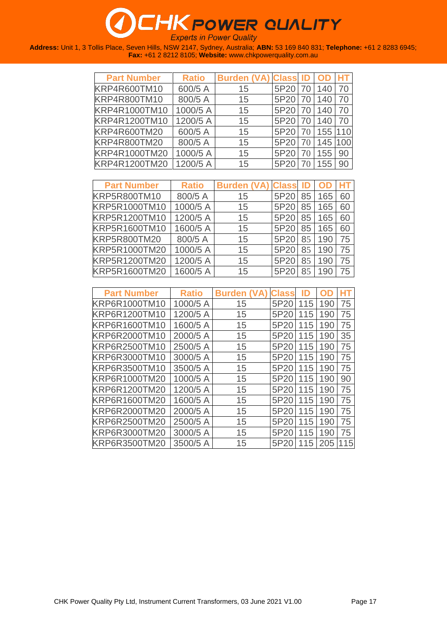| <b>Part Number</b> | <b>Ratio</b> | <b>Burden (VA) Class ID</b> |      |      |         |     |
|--------------------|--------------|-----------------------------|------|------|---------|-----|
| KRP4R600TM10       | 600/5 A      | 15                          | 5P20 | 70 l | 140     | 70  |
| KRP4R800TM10       | 800/5 A      | 15                          | 5P20 | 70   | 140     | 70  |
| KRP4R1000TM10      | 1000/5 A     | 15                          | 5P20 | 70   | 140     | 70  |
| KRP4R1200TM10      | 1200/5 A     | 15                          | 5P20 | 70   | 140     | 70  |
| KRP4R600TM20       | 600/5 A      | 15                          | 5P20 | 70   | 155 110 |     |
| KRP4R800TM20       | 800/5 A      | 15                          | 5P20 | 70   | 145     | 100 |
| KRP4R1000TM20      | 1000/5 A     | 15                          | 5P20 | 70   | 155     | 90  |
| KRP4R1200TM20      | 1200/5 A     | 15                          | 5P20 |      | 155     | 90  |

| <b>Part Number</b>  | <b>Ratio</b> | <b>Burden (VA) Class ID</b> |      |    |     |    |
|---------------------|--------------|-----------------------------|------|----|-----|----|
| <b>KRP5R800TM10</b> | 800/5 A      | 15                          | 5P20 | 85 | 165 | 60 |
| KRP5R1000TM10       | 1000/5 A     | 15                          | 5P20 | 85 | 165 | 60 |
| KRP5R1200TM10       | 1200/5 A     | 15                          | 5P20 | 85 | 165 | 60 |
| KRP5R1600TM10       | 1600/5 A     | 15                          | 5P20 | 85 | 165 | 60 |
| <b>KRP5R800TM20</b> | 800/5 A      | 15                          | 5P20 | 85 | 190 | 75 |
| KRP5R1000TM20       | 1000/5 A     | 15                          | 5P20 | 85 | 190 | 75 |
| KRP5R1200TM20       | 1200/5 A     | 15                          | 5P20 | 85 | 190 | 75 |
| KRP5R1600TM20       | 1600/5 A     | 15                          | 5P20 | 85 | 190 | 75 |

| <b>Part Number</b>   | <b>Ratio</b> | <b>Burden</b> | <b>Class</b> |     |     |     |
|----------------------|--------------|---------------|--------------|-----|-----|-----|
| KRP6R1000TM10        | 1000/5 A     | 15            | 5P20         | 115 | 190 | 75  |
| KRP6R1200TM10        | 1200/5 A     | 15            | 5P20         | 115 | 190 | 75  |
| KRP6R1600TM10        | 1600/5 A     | 15            | 5P20         | 115 | 190 | 75  |
| KRP6R2000TM10        | 2000/5 A     | 15            | 5P20         | 115 | 190 | 35  |
| KRP6R2500TM10        | 2500/5 A     | 15            | 5P20         | 115 | 190 | 75  |
| KRP6R3000TM10        | 3000/5 A     | 15            | 5P20         | 115 | 190 | 75  |
| KRP6R3500TM10        | 3500/5 A     | 15            | 5P20         | 115 | 190 | 75  |
| KRP6R1000TM20        | 1000/5 A     | 15            | 5P20         | 115 | 190 | 90  |
| KRP6R1200TM20        | 1200/5 A     | 15            | 5P20         | 115 | 190 | 75  |
| <b>KRP6R1600TM20</b> | 1600/5 A     | 15            | 5P20         | 115 | 190 | 75  |
| <b>KRP6R2000TM20</b> | 2000/5 A     | 15            | 5P20         | 115 | 190 | 75  |
| KRP6R2500TM20        | 2500/5 A     | 15            | 5P20         | 115 | 190 | 75  |
| <b>KRP6R3000TM20</b> | 3000/5 A     | 15            | 5P20         | 115 | 190 | 75  |
| KRP6R3500TM20        | 3500/5 A     | 15            | 5P20         | 115 | 205 | 115 |